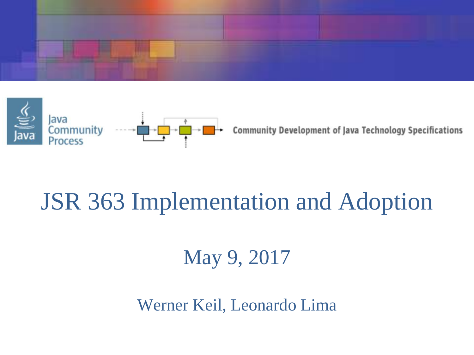



**Community Development of Java Technology Specifications** 

#### JSR 363 Implementation and Adoption

May 9, 2017

Werner Keil, Leonardo Lima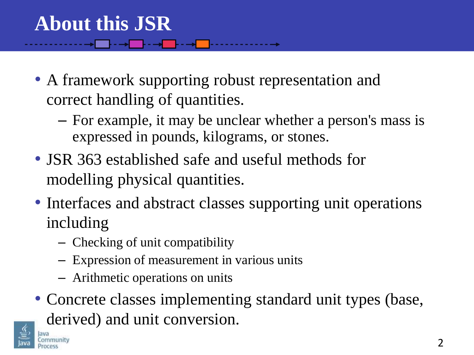• A framework supporting robust representation and correct handling of quantities.

- For example, it may be unclear whether a person's mass is expressed in pounds, kilograms, or stones.
- JSR 363 established safe and useful methods for modelling physical quantities.
- Interfaces and abstract classes supporting unit operations including
	- Checking of unit compatibility
	- Expression of measurement in various units
	- Arithmetic operations on units
- Concrete classes implementing standard unit types (base, derived) and unit conversion.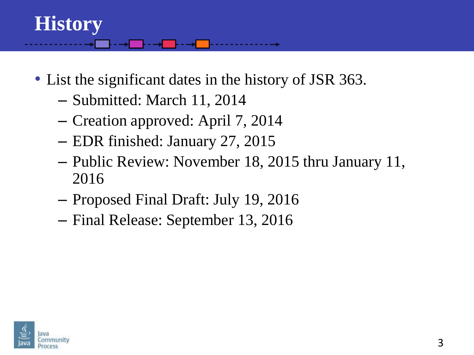### **History**

- List the significant dates in the history of JSR 363.
	- Submitted: March 11, 2014
	- Creation approved: April 7, 2014
	- EDR finished: January 27, 2015
	- Public Review: November 18, 2015 thru January 11, 2016
	- Proposed Final Draft: July 19, 2016
	- Final Release: September 13, 2016

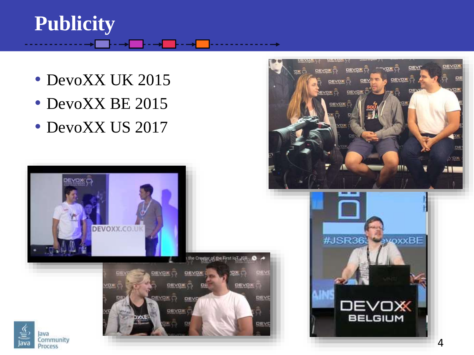#### **Publicity**

- DevoXX UK 2015
- DevoXX BE 2015
- DevoXX US 2017





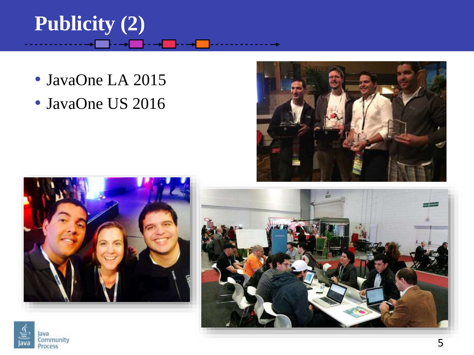# **Publicity (2)**

- JavaOne LA 2015
- JavaOne US 2016







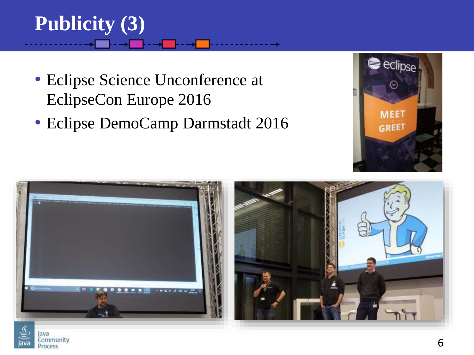# **Publicity (3)**

Community Process

- Eclipse Science Unconference at EclipseCon Europe 2016
- Eclipse DemoCamp Darmstadt 2016



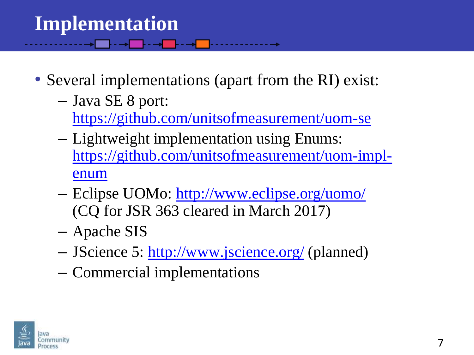### **Implementation**

• Several implementations (apart from the RI) exist:

<mark>┟┈┉╋┈┈┠┈┈┉╋┈┈║</mark>┈╌┈╌┈╌╌╌

- Java SE 8 port:
	- <https://github.com/unitsofmeasurement/uom-se>
- Lightweight implementation using Enums: [https://github.com/unitsofmeasurement/uom-impl](https://github.com/unitsofmeasurement/uom-impl-enum)enum
- Eclipse UOMo: [http://www.eclipse.org/uomo/](https://www.eclipse.org/uomo/) (CQ for JSR 363 cleared in March 2017)
- Apache SIS
- JScience 5: <http://www.jscience.org/> (planned)
- Commercial implementations

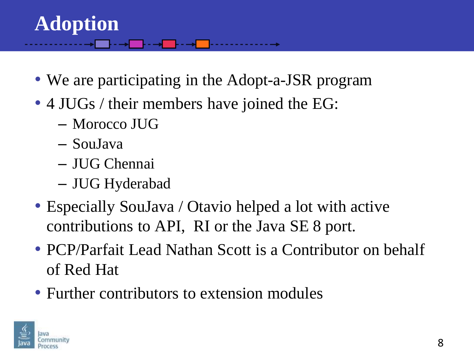#### **Adoption**

- We are participating in the Adopt-a-JSR program
- 4 JUGs / their members have joined the EG:
	- Morocco JUG
	- SouJava
	- JUG Chennai
	- JUG Hyderabad
- Especially SouJava / Otavio helped a lot with active contributions to API, RI or the Java SE 8 port.
- PCP/Parfait Lead Nathan Scott is a Contributor on behalf of Red Hat
- Further contributors to extension modules

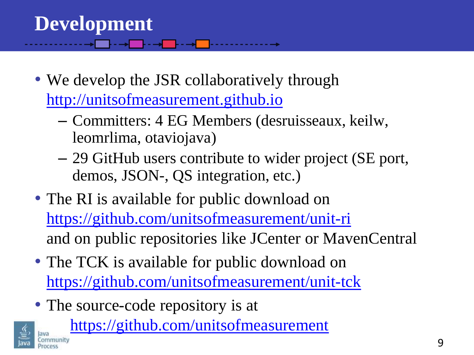## **Development**

• We develop the JSR collaboratively through [http://unitsofmeasurement.github.io](http://unitsofmeasurement.github.io/)

- Committers: 4 EG Members (desruisseaux, keilw, leomrlima, otaviojava)
- 29 GitHub users contribute to wider project (SE port, demos, JSON-, QS integration, etc.)
- The RI is available for public download on <https://github.com/unitsofmeasurement/unit-ri> and on public repositories like JCenter or MavenCentral
- The TCK is available for public download on <https://github.com/unitsofmeasurement/unit-tck>
- The source-code repository is at



<https://github.com/unitsofmeasurement>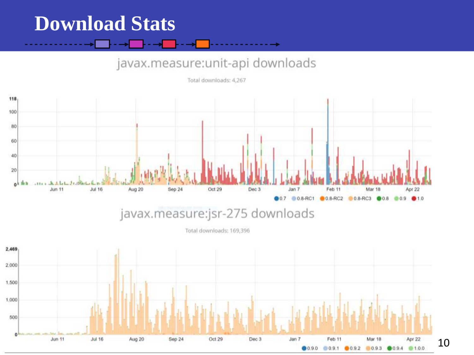#### **Download Stats**

#### javax.measure:unit-api downloads

Total downloads: 4,267



Total downloads: 169,396

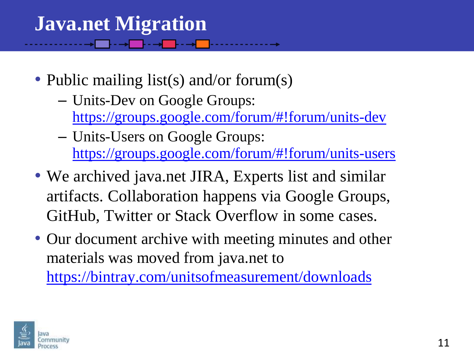#### **Java.net Migration**

- Public mailing list(s) and/or forum(s)
	- Units-Dev on Google Groups: <https://groups.google.com/forum/#!forum/units-dev>
	- Units-Users on Google Groups: <https://groups.google.com/forum/#!forum/units-users>
- We archived java.net JIRA, Experts list and similar artifacts. Collaboration happens via Google Groups, GitHub, Twitter or Stack Overflow in some cases.
- Our document archive with meeting minutes and other materials was moved from java.net to <https://bintray.com/unitsofmeasurement/downloads>

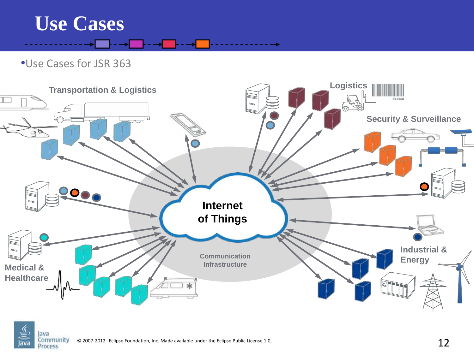

•Use Cases for JSR 363



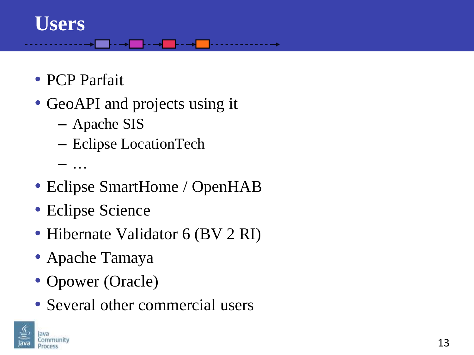#### **Users**

- PCP Parfait
- GeoAPI and projects using it

. **. . . .** . . . .

- Apache SIS
- Eclipse LocationTech
- …
- Eclipse SmartHome / OpenHAB
- Eclipse Science
- Hibernate Validator 6 (BV 2 RI)
- Apache Tamaya
- Opower (Oracle)
- Several other commercial users

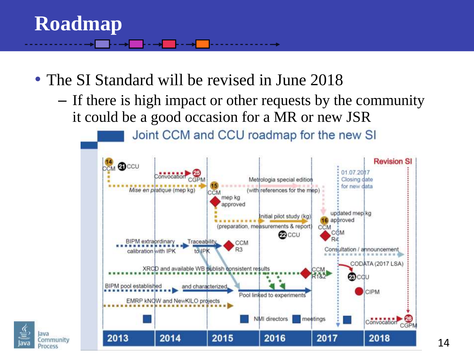#### **Roadmap**

- The SI Standard will be revised in June 2018
	- If there is high impact or other requests by the community it could be a good occasion for a MR or new JSR



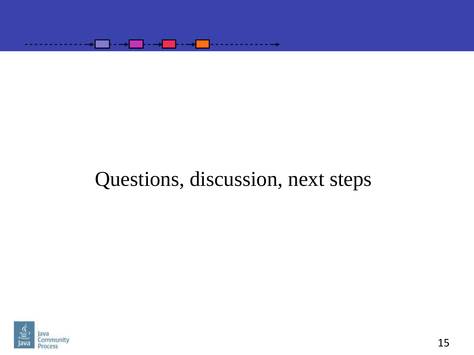

#### Questions, discussion, next steps